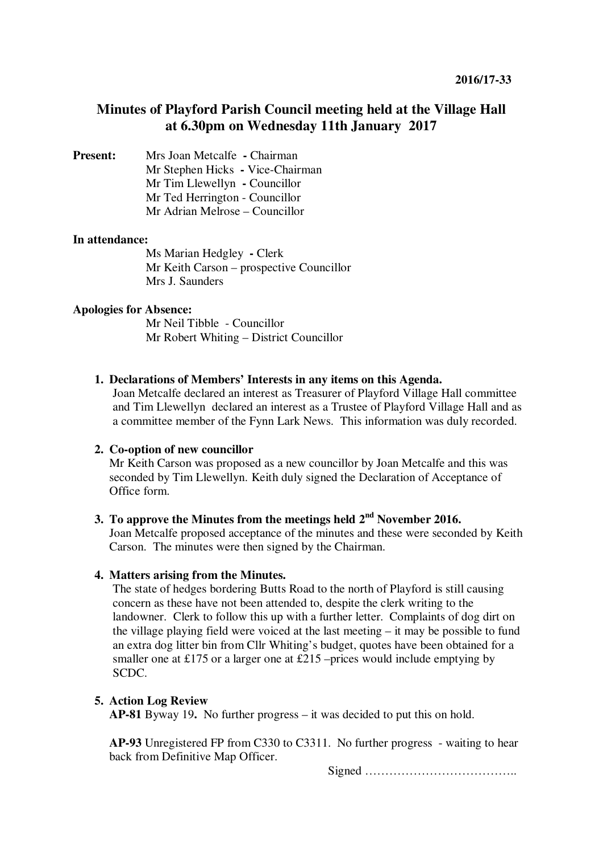# **Minutes of Playford Parish Council meeting held at the Village Hall at 6.30pm on Wednesday 11th January 2017**

**Present:** Mrs Joan Metcalfe **- Chairman** Mr Stephen Hicks **-** Vice-Chairman Mr Tim Llewellyn **-** Councillor Mr Ted Herrington - Councillor Mr Adrian Melrose – Councillor

#### **In attendance:**

Ms Marian Hedgley **-** Clerk Mr Keith Carson – prospective Councillor Mrs J. Saunders

#### **Apologies for Absence:**

Mr Neil Tibble - Councillor Mr Robert Whiting – District Councillor

#### **1. Declarations of Members' Interests in any items on this Agenda.**

Joan Metcalfe declared an interest as Treasurer of Playford Village Hall committee and Tim Llewellyn declared an interest as a Trustee of Playford Village Hall and as a committee member of the Fynn Lark News. This information was duly recorded.

## **2. Co-option of new councillor**

Mr Keith Carson was proposed as a new councillor by Joan Metcalfe and this was seconded by Tim Llewellyn. Keith duly signed the Declaration of Acceptance of Office form.

## **3. To approve the Minutes from the meetings held 2nd November 2016.**

Joan Metcalfe proposed acceptance of the minutes and these were seconded by Keith Carson. The minutes were then signed by the Chairman.

#### **4. Matters arising from the Minutes.**

The state of hedges bordering Butts Road to the north of Playford is still causing concern as these have not been attended to, despite the clerk writing to the landowner. Clerk to follow this up with a further letter. Complaints of dog dirt on the village playing field were voiced at the last meeting – it may be possible to fund an extra dog litter bin from Cllr Whiting's budget, quotes have been obtained for a smaller one at £175 or a larger one at £215 –prices would include emptying by SCDC.

## **5. Action Log Review**

**AP-81** Byway 19**.** No further progress – it was decided to put this on hold.

**AP-93** Unregistered FP from C330 to C3311. No further progress - waiting to hear back from Definitive Map Officer.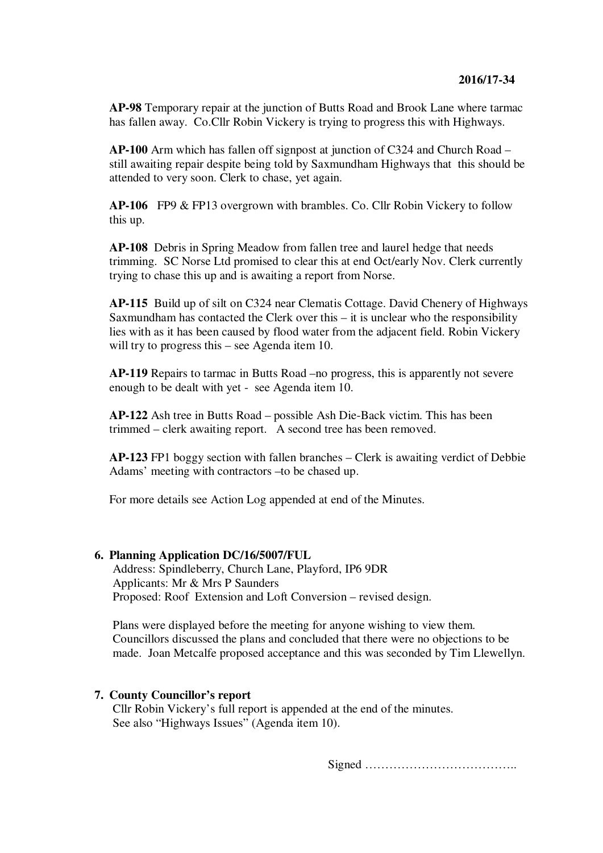**AP-98** Temporary repair at the junction of Butts Road and Brook Lane where tarmac has fallen away. Co.Cllr Robin Vickery is trying to progress this with Highways.

**AP-100** Arm which has fallen off signpost at junction of C324 and Church Road – still awaiting repair despite being told by Saxmundham Highways that this should be attended to very soon. Clerk to chase, yet again.

**AP-106** FP9 & FP13 overgrown with brambles. Co. Cllr Robin Vickery to follow this up.

**AP-108** Debris in Spring Meadow from fallen tree and laurel hedge that needs trimming. SC Norse Ltd promised to clear this at end Oct/early Nov. Clerk currently trying to chase this up and is awaiting a report from Norse.

**AP-115** Build up of silt on C324 near Clematis Cottage. David Chenery of Highways Saxmundham has contacted the Clerk over this – it is unclear who the responsibility lies with as it has been caused by flood water from the adjacent field. Robin Vickery will try to progress this – see Agenda item 10.

**AP-119** Repairs to tarmac in Butts Road –no progress, this is apparently not severe enough to be dealt with yet - see Agenda item 10.

**AP-122** Ash tree in Butts Road – possible Ash Die-Back victim. This has been trimmed – clerk awaiting report. A second tree has been removed.

**AP-123** FP1 boggy section with fallen branches – Clerk is awaiting verdict of Debbie Adams' meeting with contractors –to be chased up.

For more details see Action Log appended at end of the Minutes.

#### **6. Planning Application DC/16/5007/FUL**

Address: Spindleberry, Church Lane, Playford, IP6 9DR Applicants: Mr & Mrs P Saunders Proposed: Roof Extension and Loft Conversion – revised design.

Plans were displayed before the meeting for anyone wishing to view them. Councillors discussed the plans and concluded that there were no objections to be made. Joan Metcalfe proposed acceptance and this was seconded by Tim Llewellyn.

#### **7. County Councillor's report**

Cllr Robin Vickery's full report is appended at the end of the minutes. See also "Highways Issues" (Agenda item 10).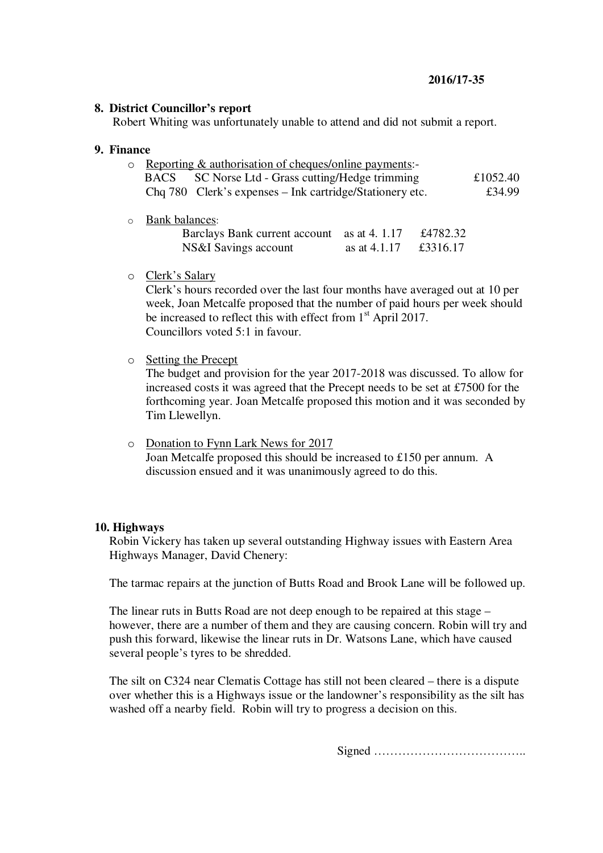## **8. District Councillor's report**

Robert Whiting was unfortunately unable to attend and did not submit a report.

## **9. Finance**

| $\circ$ Reporting & authorisation of cheques/online payments:- |                                                          |          |
|----------------------------------------------------------------|----------------------------------------------------------|----------|
|                                                                | BACS SC Norse Ltd - Grass cutting/Hedge trimming         | £1052.40 |
|                                                                | Chq 780 Clerk's expenses – Ink cartridge/Stationery etc. | £34.99   |

o Bank balances:

| Barclays Bank current account as at 4.1.17 |                | £4782.32 |
|--------------------------------------------|----------------|----------|
| NS&I Savings account                       | as at $4.1.17$ | £3316.17 |

o Clerk's Salary

Clerk's hours recorded over the last four months have averaged out at 10 per week, Joan Metcalfe proposed that the number of paid hours per week should be increased to reflect this with effect from  $1<sup>st</sup>$  April 2017. Councillors voted 5:1 in favour.

o Setting the Precept

The budget and provision for the year 2017-2018 was discussed. To allow for increased costs it was agreed that the Precept needs to be set at £7500 for the forthcoming year. Joan Metcalfe proposed this motion and it was seconded by Tim Llewellyn.

o Donation to Fynn Lark News for 2017 Joan Metcalfe proposed this should be increased to £150 per annum. A discussion ensued and it was unanimously agreed to do this.

## **10. Highways**

Robin Vickery has taken up several outstanding Highway issues with Eastern Area Highways Manager, David Chenery:

The tarmac repairs at the junction of Butts Road and Brook Lane will be followed up.

The linear ruts in Butts Road are not deep enough to be repaired at this stage – however, there are a number of them and they are causing concern. Robin will try and push this forward, likewise the linear ruts in Dr. Watsons Lane, which have caused several people's tyres to be shredded.

The silt on C324 near Clematis Cottage has still not been cleared – there is a dispute over whether this is a Highways issue or the landowner's responsibility as the silt has washed off a nearby field. Robin will try to progress a decision on this.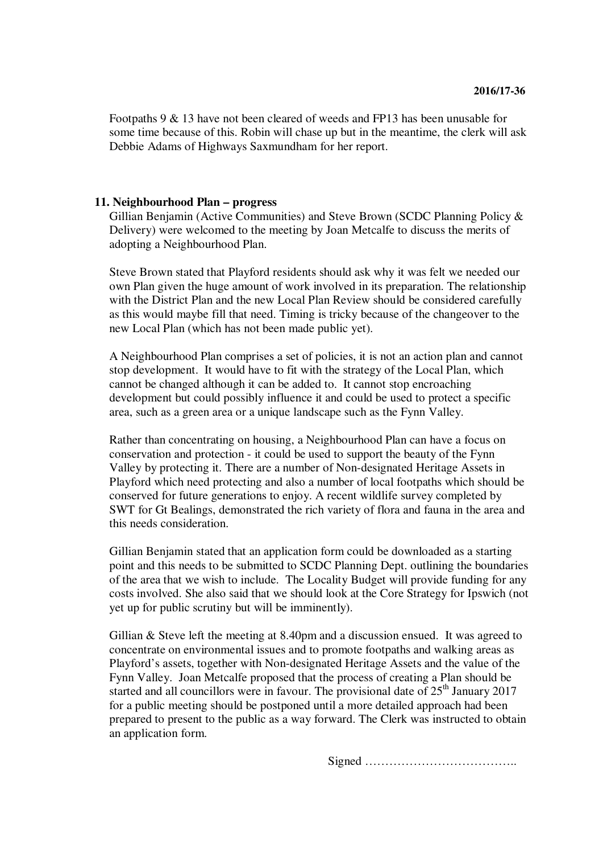Footpaths 9 & 13 have not been cleared of weeds and FP13 has been unusable for some time because of this. Robin will chase up but in the meantime, the clerk will ask Debbie Adams of Highways Saxmundham for her report.

#### **11. Neighbourhood Plan – progress**

Gillian Benjamin (Active Communities) and Steve Brown (SCDC Planning Policy & Delivery) were welcomed to the meeting by Joan Metcalfe to discuss the merits of adopting a Neighbourhood Plan.

Steve Brown stated that Playford residents should ask why it was felt we needed our own Plan given the huge amount of work involved in its preparation. The relationship with the District Plan and the new Local Plan Review should be considered carefully as this would maybe fill that need. Timing is tricky because of the changeover to the new Local Plan (which has not been made public yet).

A Neighbourhood Plan comprises a set of policies, it is not an action plan and cannot stop development. It would have to fit with the strategy of the Local Plan, which cannot be changed although it can be added to. It cannot stop encroaching development but could possibly influence it and could be used to protect a specific area, such as a green area or a unique landscape such as the Fynn Valley.

Rather than concentrating on housing, a Neighbourhood Plan can have a focus on conservation and protection - it could be used to support the beauty of the Fynn Valley by protecting it. There are a number of Non-designated Heritage Assets in Playford which need protecting and also a number of local footpaths which should be conserved for future generations to enjoy. A recent wildlife survey completed by SWT for Gt Bealings, demonstrated the rich variety of flora and fauna in the area and this needs consideration.

Gillian Benjamin stated that an application form could be downloaded as a starting point and this needs to be submitted to SCDC Planning Dept. outlining the boundaries of the area that we wish to include. The Locality Budget will provide funding for any costs involved. She also said that we should look at the Core Strategy for Ipswich (not yet up for public scrutiny but will be imminently).

Gillian & Steve left the meeting at 8.40pm and a discussion ensued. It was agreed to concentrate on environmental issues and to promote footpaths and walking areas as Playford's assets, together with Non-designated Heritage Assets and the value of the Fynn Valley. Joan Metcalfe proposed that the process of creating a Plan should be started and all councillors were in favour. The provisional date of  $25<sup>th</sup>$  January 2017 for a public meeting should be postponed until a more detailed approach had been prepared to present to the public as a way forward. The Clerk was instructed to obtain an application form.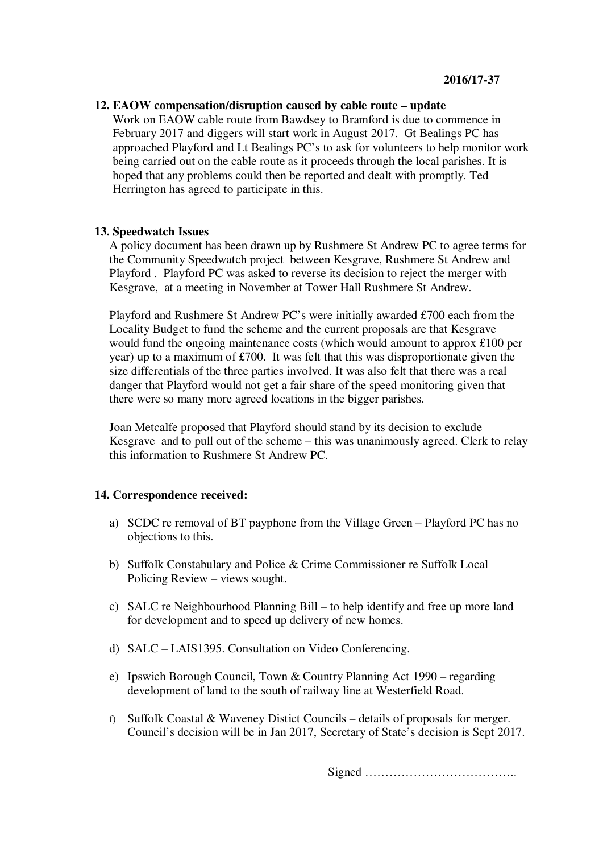## **12. EAOW compensation/disruption caused by cable route – update**

Work on EAOW cable route from Bawdsey to Bramford is due to commence in February 2017 and diggers will start work in August 2017. Gt Bealings PC has approached Playford and Lt Bealings PC's to ask for volunteers to help monitor work being carried out on the cable route as it proceeds through the local parishes. It is hoped that any problems could then be reported and dealt with promptly. Ted Herrington has agreed to participate in this.

## **13. Speedwatch Issues**

A policy document has been drawn up by Rushmere St Andrew PC to agree terms for the Community Speedwatch project between Kesgrave, Rushmere St Andrew and Playford . Playford PC was asked to reverse its decision to reject the merger with Kesgrave, at a meeting in November at Tower Hall Rushmere St Andrew.

Playford and Rushmere St Andrew PC's were initially awarded £700 each from the Locality Budget to fund the scheme and the current proposals are that Kesgrave would fund the ongoing maintenance costs (which would amount to approx £100 per year) up to a maximum of £700. It was felt that this was disproportionate given the size differentials of the three parties involved. It was also felt that there was a real danger that Playford would not get a fair share of the speed monitoring given that there were so many more agreed locations in the bigger parishes.

Joan Metcalfe proposed that Playford should stand by its decision to exclude Kesgrave and to pull out of the scheme – this was unanimously agreed. Clerk to relay this information to Rushmere St Andrew PC.

## **14. Correspondence received:**

- a) SCDC re removal of BT payphone from the Village Green Playford PC has no objections to this.
- b) Suffolk Constabulary and Police & Crime Commissioner re Suffolk Local Policing Review – views sought.
- c) SALC re Neighbourhood Planning Bill to help identify and free up more land for development and to speed up delivery of new homes.
- d) SALC LAIS1395. Consultation on Video Conferencing.
- e) Ipswich Borough Council, Town & Country Planning Act 1990 regarding development of land to the south of railway line at Westerfield Road.
- f) Suffolk Coastal & Waveney Distict Councils details of proposals for merger. Council's decision will be in Jan 2017, Secretary of State's decision is Sept 2017.